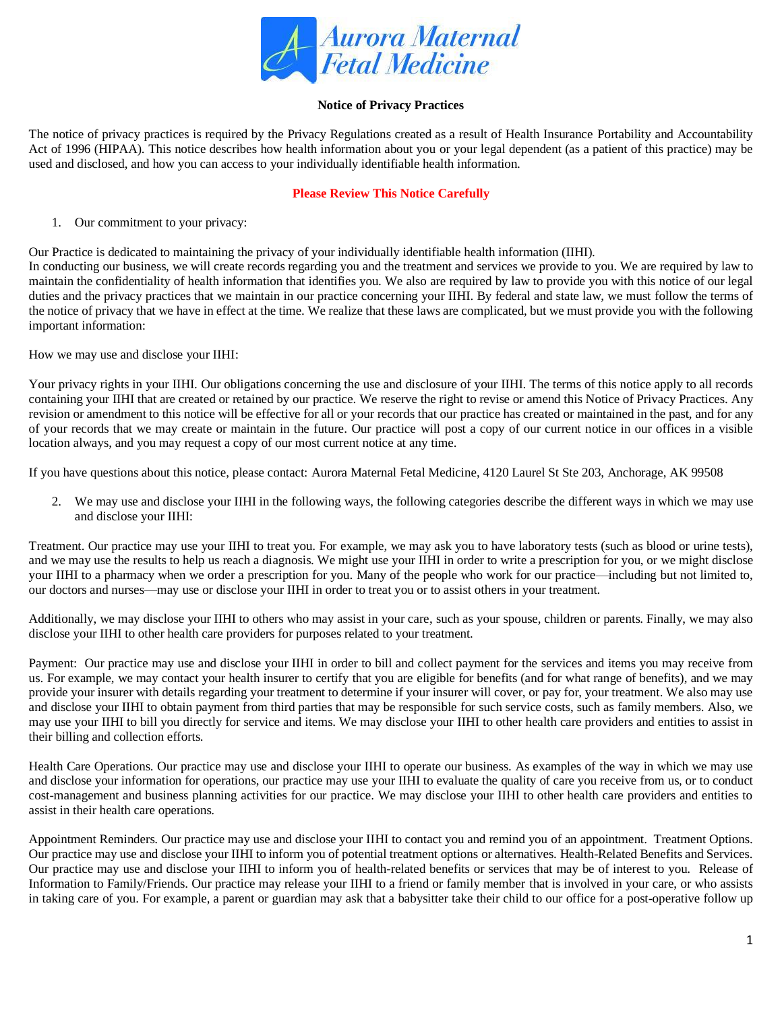

# **Notice of Privacy Practices**

The notice of privacy practices is required by the Privacy Regulations created as a result of Health Insurance Portability and Accountability Act of 1996 (HIPAA). This notice describes how health information about you or your legal dependent (as a patient of this practice) may be used and disclosed, and how you can access to your individually identifiable health information.

## **Please Review This Notice Carefully**

1. Our commitment to your privacy:

Our Practice is dedicated to maintaining the privacy of your individually identifiable health information (IIHI).

In conducting our business, we will create records regarding you and the treatment and services we provide to you. We are required by law to maintain the confidentiality of health information that identifies you. We also are required by law to provide you with this notice of our legal duties and the privacy practices that we maintain in our practice concerning your IIHI. By federal and state law, we must follow the terms of the notice of privacy that we have in effect at the time. We realize that these laws are complicated, but we must provide you with the following important information:

How we may use and disclose your IIHI:

Your privacy rights in your IIHI. Our obligations concerning the use and disclosure of your IIHI. The terms of this notice apply to all records containing your IIHI that are created or retained by our practice. We reserve the right to revise or amend this Notice of Privacy Practices. Any revision or amendment to this notice will be effective for all or your records that our practice has created or maintained in the past, and for any of your records that we may create or maintain in the future. Our practice will post a copy of our current notice in our offices in a visible location always, and you may request a copy of our most current notice at any time.

If you have questions about this notice, please contact: Aurora Maternal Fetal Medicine, 4120 Laurel St Ste 203, Anchorage, AK 99508

2. We may use and disclose your IIHI in the following ways, the following categories describe the different ways in which we may use and disclose your IIHI:

Treatment. Our practice may use your IIHI to treat you. For example, we may ask you to have laboratory tests (such as blood or urine tests), and we may use the results to help us reach a diagnosis. We might use your IIHI in order to write a prescription for you, or we might disclose your IIHI to a pharmacy when we order a prescription for you. Many of the people who work for our practice—including but not limited to, our doctors and nurses—may use or disclose your IIHI in order to treat you or to assist others in your treatment.

Additionally, we may disclose your IIHI to others who may assist in your care, such as your spouse, children or parents. Finally, we may also disclose your IIHI to other health care providers for purposes related to your treatment.

Payment: Our practice may use and disclose your IIHI in order to bill and collect payment for the services and items you may receive from us. For example, we may contact your health insurer to certify that you are eligible for benefits (and for what range of benefits), and we may provide your insurer with details regarding your treatment to determine if your insurer will cover, or pay for, your treatment. We also may use and disclose your IIHI to obtain payment from third parties that may be responsible for such service costs, such as family members. Also, we may use your IIHI to bill you directly for service and items. We may disclose your IIHI to other health care providers and entities to assist in their billing and collection efforts.

Health Care Operations. Our practice may use and disclose your IIHI to operate our business. As examples of the way in which we may use and disclose your information for operations, our practice may use your IIHI to evaluate the quality of care you receive from us, or to conduct cost-management and business planning activities for our practice. We may disclose your IIHI to other health care providers and entities to assist in their health care operations.

Appointment Reminders. Our practice may use and disclose your IIHI to contact you and remind you of an appointment. Treatment Options. Our practice may use and disclose your IIHI to inform you of potential treatment options or alternatives. Health-Related Benefits and Services. Our practice may use and disclose your IIHI to inform you of health-related benefits or services that may be of interest to you. Release of Information to Family/Friends. Our practice may release your IIHI to a friend or family member that is involved in your care, or who assists in taking care of you. For example, a parent or guardian may ask that a babysitter take their child to our office for a post-operative follow up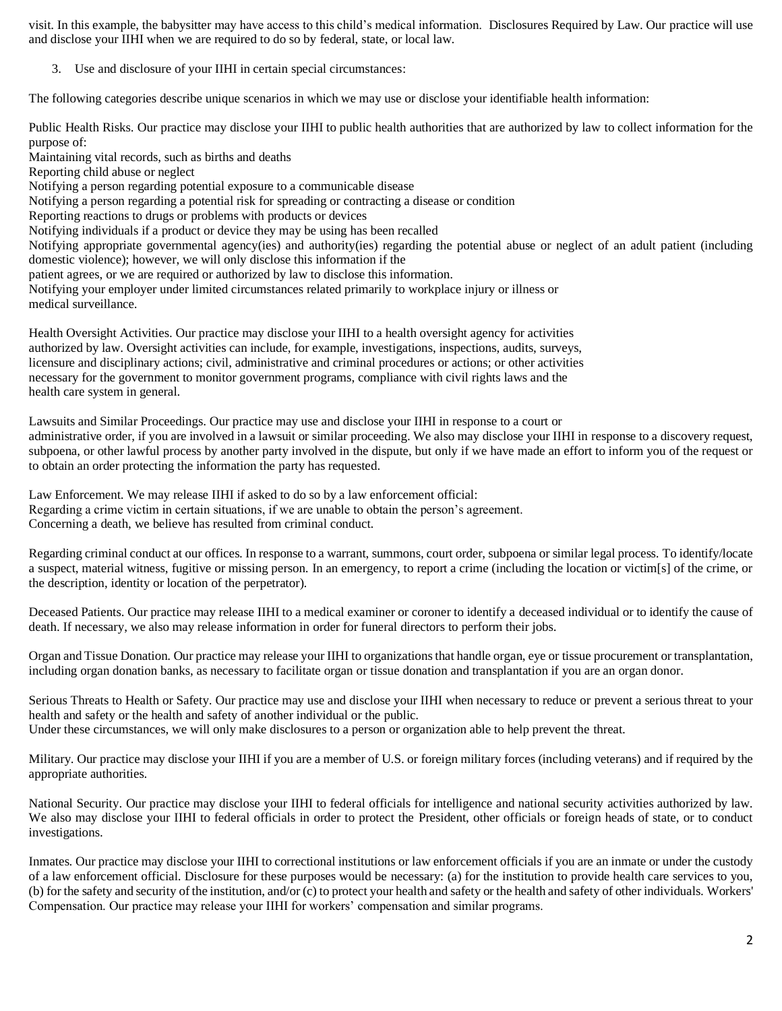visit. In this example, the babysitter may have access to this child's medical information. Disclosures Required by Law. Our practice will use and disclose your IIHI when we are required to do so by federal, state, or local law.

3. Use and disclosure of your IIHI in certain special circumstances:

The following categories describe unique scenarios in which we may use or disclose your identifiable health information:

Public Health Risks. Our practice may disclose your IIHI to public health authorities that are authorized by law to collect information for the purpose of:

Maintaining vital records, such as births and deaths Reporting child abuse or neglect Notifying a person regarding potential exposure to a communicable disease Notifying a person regarding a potential risk for spreading or contracting a disease or condition Reporting reactions to drugs or problems with products or devices Notifying individuals if a product or device they may be using has been recalled Notifying appropriate governmental agency(ies) and authority(ies) regarding the potential abuse or neglect of an adult patient (including domestic violence); however, we will only disclose this information if the patient agrees, or we are required or authorized by law to disclose this information. Notifying your employer under limited circumstances related primarily to workplace injury or illness or medical surveillance.

Health Oversight Activities. Our practice may disclose your IIHI to a health oversight agency for activities authorized by law. Oversight activities can include, for example, investigations, inspections, audits, surveys, licensure and disciplinary actions; civil, administrative and criminal procedures or actions; or other activities necessary for the government to monitor government programs, compliance with civil rights laws and the health care system in general.

Lawsuits and Similar Proceedings. Our practice may use and disclose your IIHI in response to a court or administrative order, if you are involved in a lawsuit or similar proceeding. We also may disclose your IIHI in response to a discovery request, subpoena, or other lawful process by another party involved in the dispute, but only if we have made an effort to inform you of the request or to obtain an order protecting the information the party has requested.

Law Enforcement. We may release IIHI if asked to do so by a law enforcement official: Regarding a crime victim in certain situations, if we are unable to obtain the person's agreement. Concerning a death, we believe has resulted from criminal conduct.

Regarding criminal conduct at our offices. In response to a warrant, summons, court order, subpoena or similar legal process. To identify/locate a suspect, material witness, fugitive or missing person. In an emergency, to report a crime (including the location or victim[s] of the crime, or the description, identity or location of the perpetrator).

Deceased Patients. Our practice may release IIHI to a medical examiner or coroner to identify a deceased individual or to identify the cause of death. If necessary, we also may release information in order for funeral directors to perform their jobs.

Organ and Tissue Donation. Our practice may release your IIHI to organizations that handle organ, eye or tissue procurement or transplantation, including organ donation banks, as necessary to facilitate organ or tissue donation and transplantation if you are an organ donor.

Serious Threats to Health or Safety. Our practice may use and disclose your IIHI when necessary to reduce or prevent a serious threat to your health and safety or the health and safety of another individual or the public.

Under these circumstances, we will only make disclosures to a person or organization able to help prevent the threat.

Military. Our practice may disclose your IIHI if you are a member of U.S. or foreign military forces (including veterans) and if required by the appropriate authorities.

National Security. Our practice may disclose your IIHI to federal officials for intelligence and national security activities authorized by law. We also may disclose your IIHI to federal officials in order to protect the President, other officials or foreign heads of state, or to conduct investigations.

Inmates. Our practice may disclose your IIHI to correctional institutions or law enforcement officials if you are an inmate or under the custody of a law enforcement official. Disclosure for these purposes would be necessary: (a) for the institution to provide health care services to you, (b) for the safety and security of the institution, and/or (c) to protect your health and safety or the health and safety of other individuals. Workers' Compensation. Our practice may release your IIHI for workers' compensation and similar programs.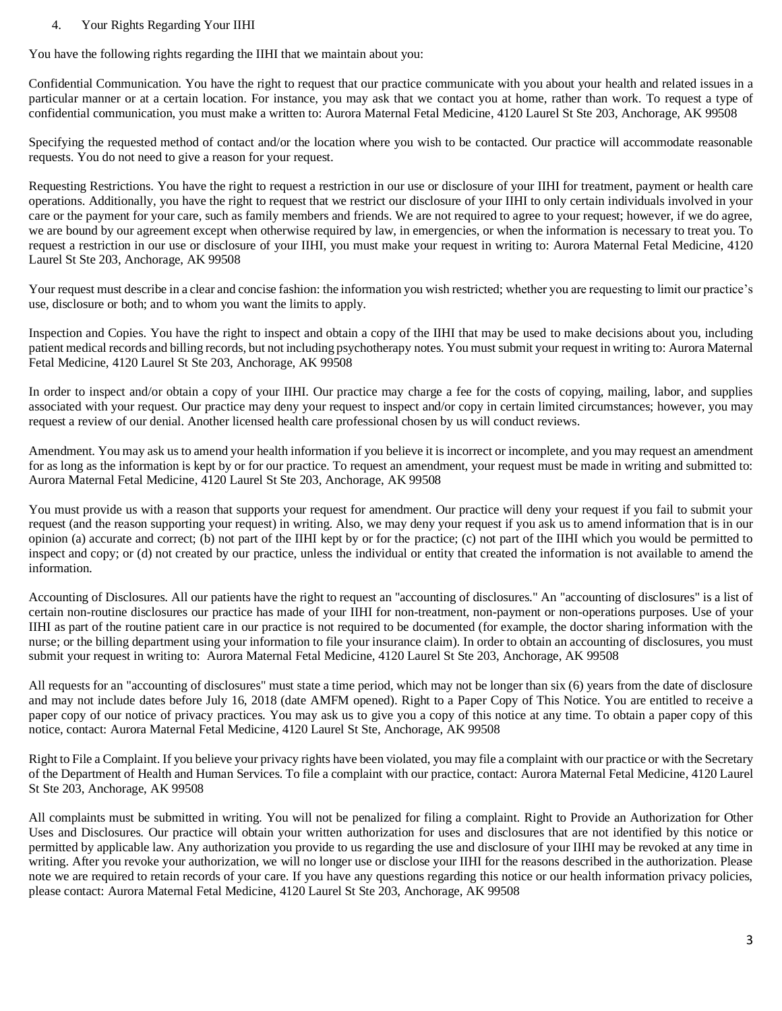# 4. Your Rights Regarding Your IIHI

You have the following rights regarding the IIHI that we maintain about you:

Confidential Communication. You have the right to request that our practice communicate with you about your health and related issues in a particular manner or at a certain location. For instance, you may ask that we contact you at home, rather than work. To request a type of confidential communication, you must make a written to: Aurora Maternal Fetal Medicine, 4120 Laurel St Ste 203, Anchorage, AK 99508

Specifying the requested method of contact and/or the location where you wish to be contacted. Our practice will accommodate reasonable requests. You do not need to give a reason for your request.

Requesting Restrictions. You have the right to request a restriction in our use or disclosure of your IIHI for treatment, payment or health care operations. Additionally, you have the right to request that we restrict our disclosure of your IIHI to only certain individuals involved in your care or the payment for your care, such as family members and friends. We are not required to agree to your request; however, if we do agree, we are bound by our agreement except when otherwise required by law, in emergencies, or when the information is necessary to treat you. To request a restriction in our use or disclosure of your IIHI, you must make your request in writing to: Aurora Maternal Fetal Medicine, 4120 Laurel St Ste 203, Anchorage, AK 99508

Your request must describe in a clear and concise fashion: the information you wish restricted; whether you are requesting to limit our practice's use, disclosure or both; and to whom you want the limits to apply.

Inspection and Copies. You have the right to inspect and obtain a copy of the IIHI that may be used to make decisions about you, including patient medical records and billing records, but not including psychotherapy notes. You must submit your request in writing to: Aurora Maternal Fetal Medicine, 4120 Laurel St Ste 203, Anchorage, AK 99508

In order to inspect and/or obtain a copy of your IIHI. Our practice may charge a fee for the costs of copying, mailing, labor, and supplies associated with your request. Our practice may deny your request to inspect and/or copy in certain limited circumstances; however, you may request a review of our denial. Another licensed health care professional chosen by us will conduct reviews.

Amendment. You may ask us to amend your health information if you believe it is incorrect or incomplete, and you may request an amendment for as long as the information is kept by or for our practice. To request an amendment, your request must be made in writing and submitted to: Aurora Maternal Fetal Medicine, 4120 Laurel St Ste 203, Anchorage, AK 99508

You must provide us with a reason that supports your request for amendment. Our practice will deny your request if you fail to submit your request (and the reason supporting your request) in writing. Also, we may deny your request if you ask us to amend information that is in our opinion (a) accurate and correct; (b) not part of the IIHI kept by or for the practice; (c) not part of the IIHI which you would be permitted to inspect and copy; or (d) not created by our practice, unless the individual or entity that created the information is not available to amend the information.

Accounting of Disclosures. All our patients have the right to request an "accounting of disclosures." An "accounting of disclosures" is a list of certain non-routine disclosures our practice has made of your IIHI for non-treatment, non-payment or non-operations purposes. Use of your IIHI as part of the routine patient care in our practice is not required to be documented (for example, the doctor sharing information with the nurse; or the billing department using your information to file your insurance claim). In order to obtain an accounting of disclosures, you must submit your request in writing to: Aurora Maternal Fetal Medicine, 4120 Laurel St Ste 203, Anchorage, AK 99508

All requests for an "accounting of disclosures" must state a time period, which may not be longer than six (6) years from the date of disclosure and may not include dates before July 16, 2018 (date AMFM opened). Right to a Paper Copy of This Notice. You are entitled to receive a paper copy of our notice of privacy practices. You may ask us to give you a copy of this notice at any time. To obtain a paper copy of this notice, contact: Aurora Maternal Fetal Medicine, 4120 Laurel St Ste, Anchorage, AK 99508

Right to File a Complaint. If you believe your privacy rights have been violated, you may file a complaint with our practice or with the Secretary of the Department of Health and Human Services. To file a complaint with our practice, contact: Aurora Maternal Fetal Medicine, 4120 Laurel St Ste 203, Anchorage, AK 99508

All complaints must be submitted in writing. You will not be penalized for filing a complaint. Right to Provide an Authorization for Other Uses and Disclosures. Our practice will obtain your written authorization for uses and disclosures that are not identified by this notice or permitted by applicable law. Any authorization you provide to us regarding the use and disclosure of your IIHI may be revoked at any time in writing. After you revoke your authorization, we will no longer use or disclose your IIHI for the reasons described in the authorization. Please note we are required to retain records of your care. If you have any questions regarding this notice or our health information privacy policies, please contact: Aurora Maternal Fetal Medicine, 4120 Laurel St Ste 203, Anchorage, AK 99508